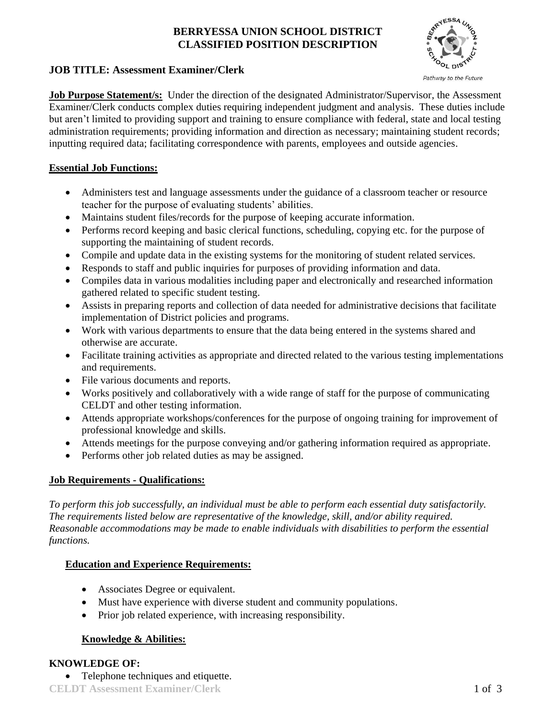## **BERRYESSA UNION SCHOOL DISTRICT CLASSIFIED POSITION DESCRIPTION**



### **JOB TITLE: Assessment Examiner/Clerk**

**Job Purpose Statement/s:** Under the direction of the designated Administrator/Supervisor, the Assessment Examiner/Clerk conducts complex duties requiring independent judgment and analysis. These duties include but aren't limited to providing support and training to ensure compliance with federal, state and local testing administration requirements; providing information and direction as necessary; maintaining student records; inputting required data; facilitating correspondence with parents, employees and outside agencies.

## **Essential Job Functions:**

- Administers test and language assessments under the guidance of a classroom teacher or resource teacher for the purpose of evaluating students' abilities.
- Maintains student files/records for the purpose of keeping accurate information.
- Performs record keeping and basic clerical functions, scheduling, copying etc. for the purpose of supporting the maintaining of student records.
- Compile and update data in the existing systems for the monitoring of student related services.
- Responds to staff and public inquiries for purposes of providing information and data.
- Compiles data in various modalities including paper and electronically and researched information gathered related to specific student testing.
- Assists in preparing reports and collection of data needed for administrative decisions that facilitate implementation of District policies and programs.
- Work with various departments to ensure that the data being entered in the systems shared and otherwise are accurate.
- Facilitate training activities as appropriate and directed related to the various testing implementations and requirements.
- File various documents and reports.
- Works positively and collaboratively with a wide range of staff for the purpose of communicating CELDT and other testing information.
- Attends appropriate workshops/conferences for the purpose of ongoing training for improvement of professional knowledge and skills.
- Attends meetings for the purpose conveying and/or gathering information required as appropriate.
- Performs other job related duties as may be assigned.

#### **Job Requirements - Qualifications:**

*To perform this job successfully, an individual must be able to perform each essential duty satisfactorily. The requirements listed below are representative of the knowledge, skill, and/or ability required. Reasonable accommodations may be made to enable individuals with disabilities to perform the essential functions.*

## **Education and Experience Requirements:**

- Associates Degree or equivalent.
- Must have experience with diverse student and community populations.
- Prior job related experience, with increasing responsibility.

## **Knowledge & Abilities:**

## **KNOWLEDGE OF:**

• Telephone techniques and etiquette.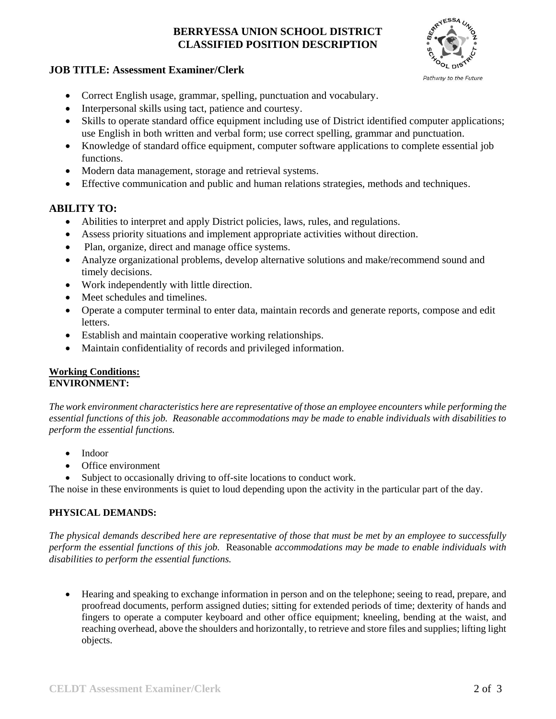## **BERRYESSA UNION SCHOOL DISTRICT CLASSIFIED POSITION DESCRIPTION**



#### **JOB TITLE: Assessment Examiner/Clerk**

- Correct English usage, grammar, spelling, punctuation and vocabulary.
- Interpersonal skills using tact, patience and courtesy.
- Skills to operate standard office equipment including use of District identified computer applications; use English in both written and verbal form; use correct spelling, grammar and punctuation.
- Knowledge of standard office equipment, computer software applications to complete essential job functions.
- Modern data management, storage and retrieval systems.
- Effective communication and public and human relations strategies, methods and techniques.

# **ABILITY TO:**

- Abilities to interpret and apply District policies, laws, rules, and regulations.
- Assess priority situations and implement appropriate activities without direction.
- Plan, organize, direct and manage office systems.
- Analyze organizational problems, develop alternative solutions and make/recommend sound and timely decisions.
- Work independently with little direction.
- Meet schedules and timelines.
- Operate a computer terminal to enter data, maintain records and generate reports, compose and edit letters.
- Establish and maintain cooperative working relationships.
- Maintain confidentiality of records and privileged information.

#### **Working Conditions: ENVIRONMENT:**

*The work environment characteristics here are representative of those an employee encounters while performing the essential functions of this job. Reasonable accommodations may be made to enable individuals with disabilities to perform the essential functions.*

- Indoor
- Office environment
- Subject to occasionally driving to off-site locations to conduct work.

The noise in these environments is quiet to loud depending upon the activity in the particular part of the day.

#### **PHYSICAL DEMANDS:**

*The physical demands described here are representative of those that must be met by an employee to successfully perform the essential functions of this job.* Reasonable *accommodations may be made to enable individuals with disabilities to perform the essential functions.*

 Hearing and speaking to exchange information in person and on the telephone; seeing to read, prepare, and proofread documents, perform assigned duties; sitting for extended periods of time; dexterity of hands and fingers to operate a computer keyboard and other office equipment; kneeling, bending at the waist, and reaching overhead, above the shoulders and horizontally, to retrieve and store files and supplies; lifting light objects.